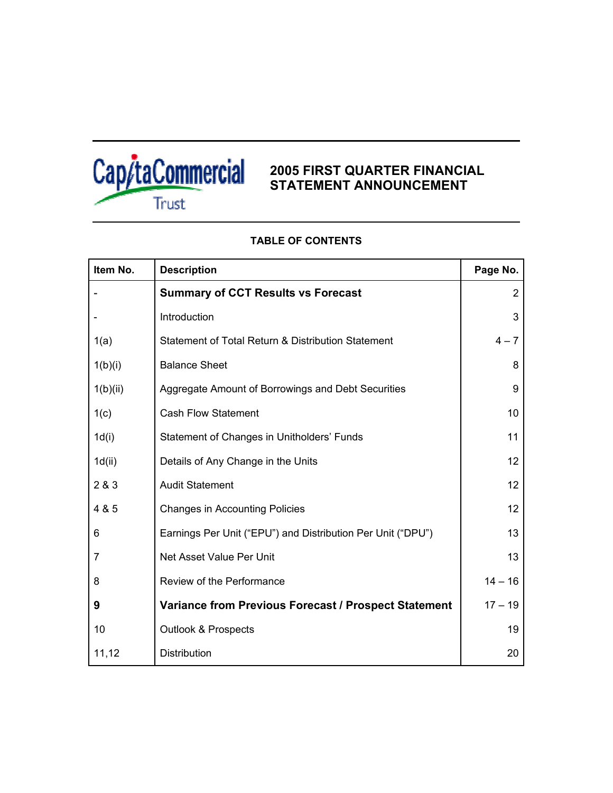

## **2005 FIRST QUARTER FINANCIAL STATEMENT ANNOUNCEMENT**

| Item No. | <b>Description</b>                                          | Page No.  |
|----------|-------------------------------------------------------------|-----------|
|          | <b>Summary of CCT Results vs Forecast</b>                   | 2         |
|          | Introduction                                                | 3         |
| 1(a)     | Statement of Total Return & Distribution Statement          | $4 - 7$   |
| 1(b)(i)  | <b>Balance Sheet</b>                                        | 8         |
| 1(b)(ii) | Aggregate Amount of Borrowings and Debt Securities          | 9         |
| 1(c)     | <b>Cash Flow Statement</b>                                  | 10        |
| 1d(i)    | Statement of Changes in Unitholders' Funds                  | 11        |
| 1d(ii)   | Details of Any Change in the Units                          | 12        |
| 2 & 3    | <b>Audit Statement</b>                                      | 12        |
| 4 & 5    | <b>Changes in Accounting Policies</b>                       | 12        |
| 6        | Earnings Per Unit ("EPU") and Distribution Per Unit ("DPU") | 13        |
| 7        | Net Asset Value Per Unit                                    | 13        |
| 8        | Review of the Performance                                   | $14 - 16$ |
| 9        | Variance from Previous Forecast / Prospect Statement        | $17 - 19$ |
| 10       | <b>Outlook &amp; Prospects</b>                              | 19        |
| 11,12    | Distribution                                                | 20        |

## **TABLE OF CONTENTS**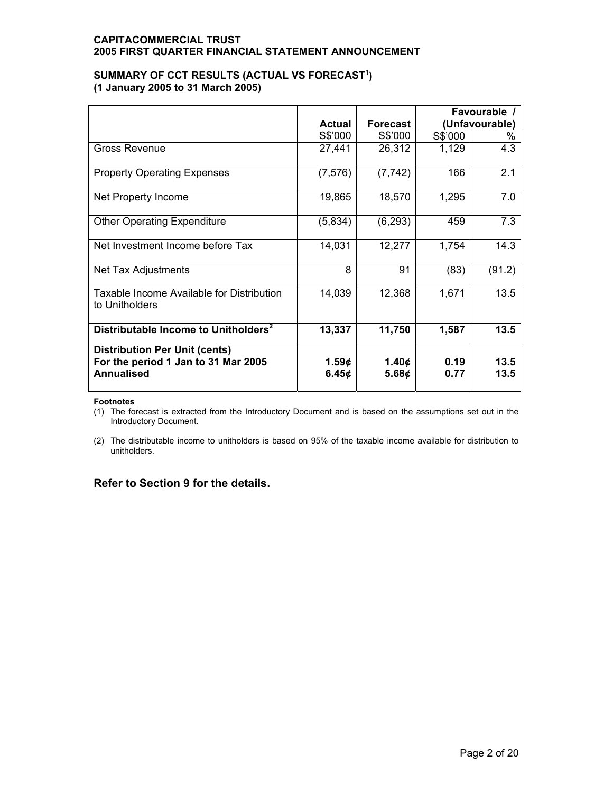### SUMMARY OF CCT RESULTS (ACTUAL VS FORECAST<sup>1</sup>) **(1 January 2005 to 31 March 2005)**

|                                                                                                  | Actual         | <b>Forecast</b> | Favourable /<br>(Unfavourable) |              |
|--------------------------------------------------------------------------------------------------|----------------|-----------------|--------------------------------|--------------|
|                                                                                                  | S\$'000        | S\$'000         | S\$'000                        | ℅            |
| Gross Revenue                                                                                    | 27,441         | 26,312          | 1,129                          | 4.3          |
| <b>Property Operating Expenses</b>                                                               | (7, 576)       | (7, 742)        | 166                            | 2.1          |
| Net Property Income                                                                              | 19,865         | 18,570          | 1,295                          | 7.0          |
| <b>Other Operating Expenditure</b>                                                               | (5,834)        | (6, 293)        | 459                            | 7.3          |
| Net Investment Income before Tax                                                                 | 14,031         | 12,277          | 1,754                          | 14.3         |
| Net Tax Adjustments                                                                              | 8              | 91              | (83)                           | (91.2)       |
| Taxable Income Available for Distribution<br>to Unitholders                                      | 14,039         | 12,368          | 1,671                          | 13.5         |
| Distributable Income to Unitholders <sup>2</sup>                                                 | 13,337         | 11,750          | 1,587                          | 13.5         |
| <b>Distribution Per Unit (cents)</b><br>For the period 1 Jan to 31 Mar 2005<br><b>Annualised</b> | 1.59c<br>6.45c | 1.40c<br>5.68c  | 0.19<br>0.77                   | 13.5<br>13.5 |

#### **Footnotes**

(1) The forecast is extracted from the Introductory Document and is based on the assumptions set out in the Introductory Document.

(2) The distributable income to unitholders is based on 95% of the taxable income available for distribution to unitholders.

## **Refer to Section 9 for the details.**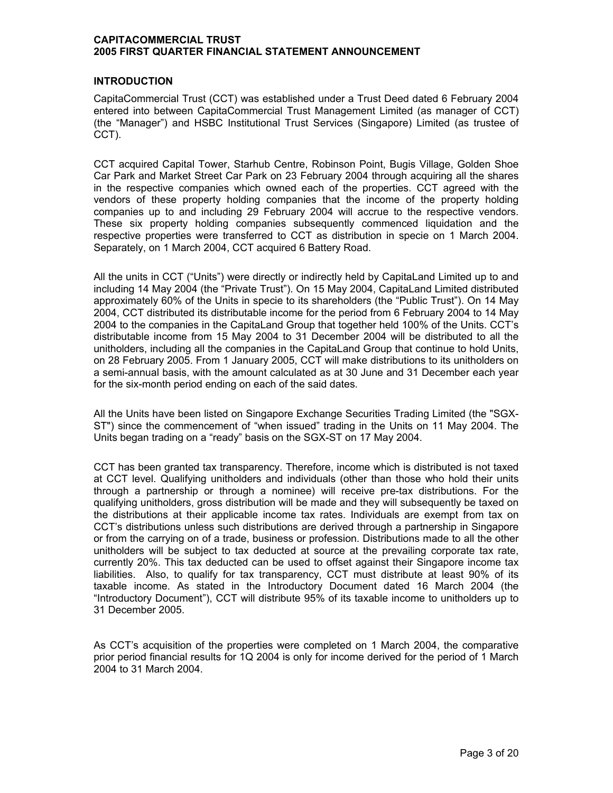### **INTRODUCTION**

CapitaCommercial Trust (CCT) was established under a Trust Deed dated 6 February 2004 entered into between CapitaCommercial Trust Management Limited (as manager of CCT) (the "Manager") and HSBC Institutional Trust Services (Singapore) Limited (as trustee of CCT).

CCT acquired Capital Tower, Starhub Centre, Robinson Point, Bugis Village, Golden Shoe Car Park and Market Street Car Park on 23 February 2004 through acquiring all the shares in the respective companies which owned each of the properties. CCT agreed with the vendors of these property holding companies that the income of the property holding companies up to and including 29 February 2004 will accrue to the respective vendors. These six property holding companies subsequently commenced liquidation and the respective properties were transferred to CCT as distribution in specie on 1 March 2004. Separately, on 1 March 2004, CCT acquired 6 Battery Road.

All the units in CCT ("Units") were directly or indirectly held by CapitaLand Limited up to and including 14 May 2004 (the "Private Trust"). On 15 May 2004, CapitaLand Limited distributed approximately 60% of the Units in specie to its shareholders (the "Public Trust"). On 14 May 2004, CCT distributed its distributable income for the period from 6 February 2004 to 14 May 2004 to the companies in the CapitaLand Group that together held 100% of the Units. CCT's distributable income from 15 May 2004 to 31 December 2004 will be distributed to all the unitholders, including all the companies in the CapitaLand Group that continue to hold Units, on 28 February 2005. From 1 January 2005, CCT will make distributions to its unitholders on a semi-annual basis, with the amount calculated as at 30 June and 31 December each year for the six-month period ending on each of the said dates.

All the Units have been listed on Singapore Exchange Securities Trading Limited (the "SGX-ST") since the commencement of "when issued" trading in the Units on 11 May 2004. The Units began trading on a "ready" basis on the SGX-ST on 17 May 2004.

CCT has been granted tax transparency. Therefore, income which is distributed is not taxed at CCT level. Qualifying unitholders and individuals (other than those who hold their units through a partnership or through a nominee) will receive pre-tax distributions. For the qualifying unitholders, gross distribution will be made and they will subsequently be taxed on the distributions at their applicable income tax rates. Individuals are exempt from tax on CCT's distributions unless such distributions are derived through a partnership in Singapore or from the carrying on of a trade, business or profession. Distributions made to all the other unitholders will be subject to tax deducted at source at the prevailing corporate tax rate, currently 20%. This tax deducted can be used to offset against their Singapore income tax liabilities. Also, to qualify for tax transparency, CCT must distribute at least 90% of its taxable income. As stated in the Introductory Document dated 16 March 2004 (the "Introductory Document"), CCT will distribute 95% of its taxable income to unitholders up to 31 December 2005.

As CCT's acquisition of the properties were completed on 1 March 2004, the comparative prior period financial results for 1Q 2004 is only for income derived for the period of 1 March 2004 to 31 March 2004.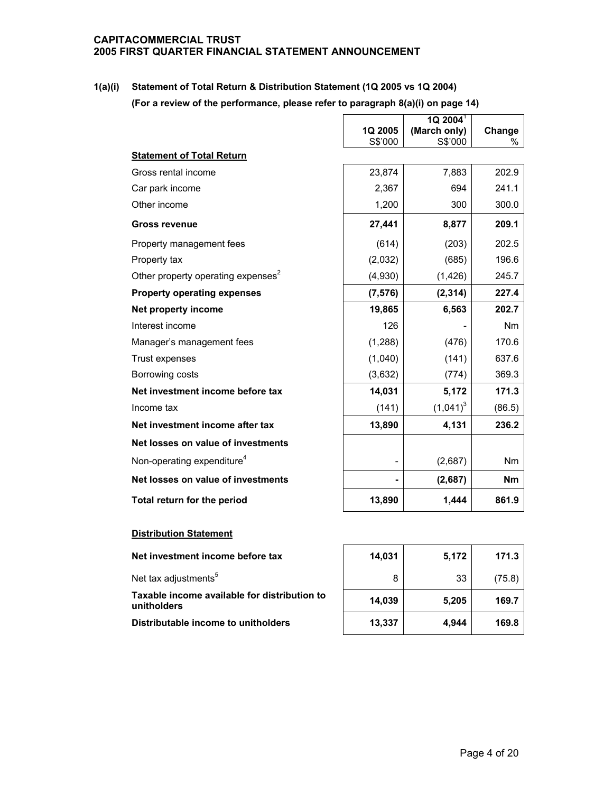**1(a)(i) Statement of Total Return & Distribution Statement (1Q 2005 vs 1Q 2004) (For a review of the performance, please refer to paragraph 8(a)(i) on page 14)** 

|                                                |                          | $1Q$ 2004 <sup>1</sup>  |                |
|------------------------------------------------|--------------------------|-------------------------|----------------|
|                                                | 1Q 2005<br>S\$'000       | (March only)<br>S\$'000 | Change<br>$\%$ |
| <b>Statement of Total Return</b>               |                          |                         |                |
| Gross rental income                            | 23,874                   | 7,883                   | 202.9          |
| Car park income                                | 2,367                    | 694                     | 241.1          |
| Other income                                   | 1,200                    | 300                     | 300.0          |
| <b>Gross revenue</b>                           | 27,441                   | 8,877                   | 209.1          |
| Property management fees                       | (614)                    | (203)                   | 202.5          |
| Property tax                                   | (2,032)                  | (685)                   | 196.6          |
| Other property operating expenses <sup>2</sup> | (4,930)                  | (1, 426)                | 245.7          |
| <b>Property operating expenses</b>             | (7, 576)                 | (2, 314)                | 227.4          |
| Net property income                            | 19,865                   | 6,563                   | 202.7          |
| Interest income                                | 126                      |                         | Nm             |
| Manager's management fees                      | (1, 288)                 | (476)                   | 170.6          |
| Trust expenses                                 | (1,040)                  | (141)                   | 637.6          |
| Borrowing costs                                | (3,632)                  | (774)                   | 369.3          |
| Net investment income before tax               | 14,031                   | 5,172                   | 171.3          |
| Income tax                                     | (141)                    | $(1,041)^3$             | (86.5)         |
| Net investment income after tax                | 13,890                   | 4,131                   | 236.2          |
| Net losses on value of investments             |                          |                         |                |
| Non-operating expenditure <sup>4</sup>         | $\overline{\phantom{a}}$ | (2,687)                 | Nm             |
| Net losses on value of investments             |                          | (2,687)                 | <b>Nm</b>      |
| Total return for the period                    | 13,890                   | 1,444                   | 861.9          |

### **Distribution Statement**

| <b>Distribution Statement</b>                               |        |       |        |
|-------------------------------------------------------------|--------|-------|--------|
| Net investment income before tax                            | 14.031 | 5,172 | 171.3  |
| Net tax adjustments <sup>5</sup>                            |        | 33    | (75.8) |
| Taxable income available for distribution to<br>unitholders | 14.039 | 5,205 | 169.7  |
|                                                             |        |       |        |

**Distributable income to unitholders** 

| 14,031 | 5,172 | 171.3  |
|--------|-------|--------|
| 8      | 33    | (75.8) |
| 14,039 | 5,205 | 169.7  |
| 13,337 | 4,944 | 169.8  |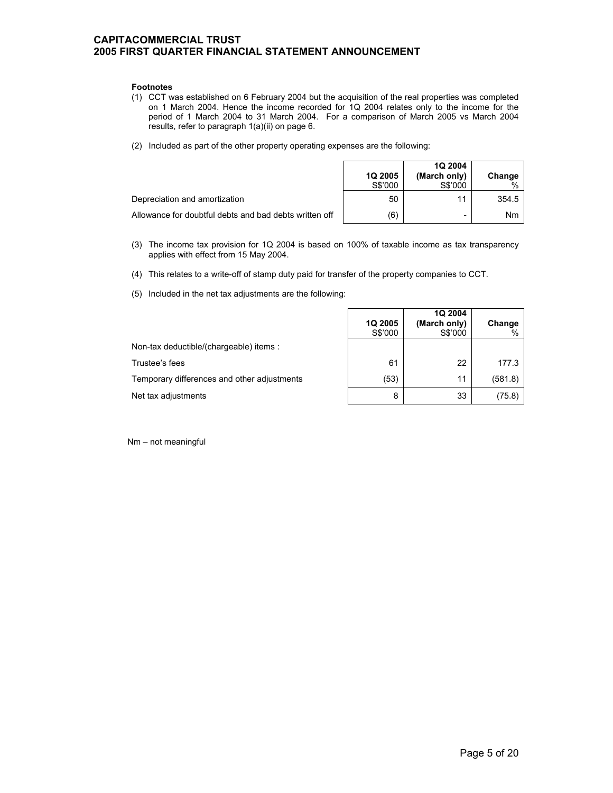#### **Footnotes**

- (1) CCT was established on 6 February 2004 but the acquisition of the real properties was completed on 1 March 2004. Hence the income recorded for 1Q 2004 relates only to the income for the period of 1 March 2004 to 31 March 2004. For a comparison of March 2005 vs March 2004 results, refer to paragraph 1(a)(ii) on page 6.
- (2) Included as part of the other property operating expenses are the following:

|                                                        | <b>1Q 2005</b><br>S\$'000 | <b>1Q 2004</b><br>(March only)<br>S\$'000 | Change    |
|--------------------------------------------------------|---------------------------|-------------------------------------------|-----------|
| Depreciation and amortization                          | 50                        | 11                                        | 354.5     |
| Allowance for doubtful debts and bad debts written off | (6)                       |                                           | <b>Nm</b> |

- (3) The income tax provision for 1Q 2004 is based on 100% of taxable income as tax transparency applies with effect from 15 May 2004.
- (4) This relates to a write-off of stamp duty paid for transfer of the property companies to CCT.
- (5) Included in the net tax adjustments are the following:

|                                             | 1Q 2005<br>S\$'000 | 1Q 2004<br>(March only)<br>S\$'000 | Change<br>$\%$ |
|---------------------------------------------|--------------------|------------------------------------|----------------|
| Non-tax deductible/(chargeable) items:      |                    |                                    |                |
| Trustee's fees                              | 61                 | 22                                 | 177.3          |
| Temporary differences and other adjustments | (53)               | 11                                 | (581.8)        |
| Net tax adjustments                         | 8                  | 33                                 | (75.8)         |

Nm – not meaningful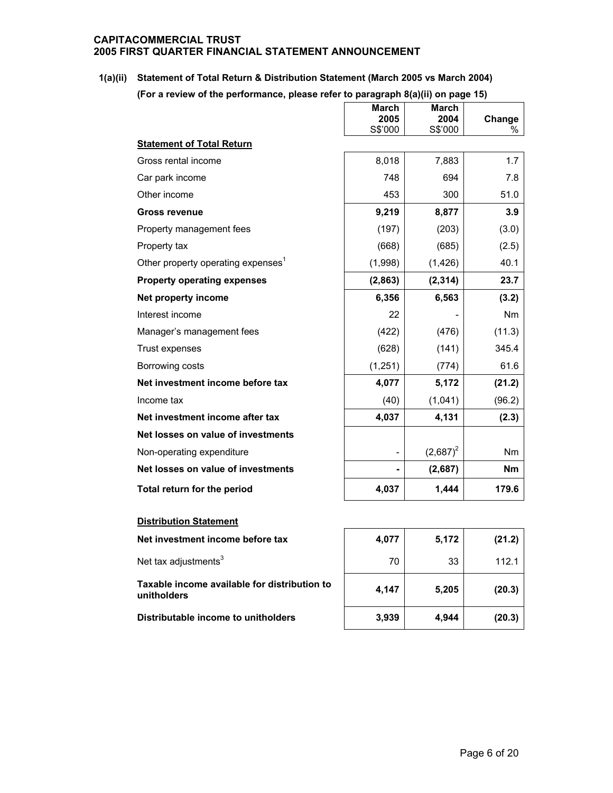# **1(a)(ii) Statement of Total Return & Distribution Statement (March 2005 vs March 2004)**

**(For a review of the performance, please refer to paragraph 8(a)(ii) on page 15)**

|                                                | <b>March</b><br>2005<br>S\$'000 | <b>March</b><br>2004<br>S\$'000 | Change<br>% |
|------------------------------------------------|---------------------------------|---------------------------------|-------------|
| <b>Statement of Total Return</b>               |                                 |                                 |             |
| Gross rental income                            | 8,018                           | 7,883                           | 1.7         |
| Car park income                                | 748                             | 694                             | 7.8         |
| Other income                                   | 453                             | 300                             | 51.0        |
| <b>Gross revenue</b>                           | 9,219                           | 8,877                           | 3.9         |
| Property management fees                       | (197)                           | (203)                           | (3.0)       |
| Property tax                                   | (668)                           | (685)                           | (2.5)       |
| Other property operating expenses <sup>1</sup> | (1,998)                         | (1, 426)                        | 40.1        |
| <b>Property operating expenses</b>             | (2,863)                         | (2, 314)                        | 23.7        |
| Net property income                            | 6,356                           | 6,563                           | (3.2)       |
| Interest income                                | 22                              |                                 | <b>Nm</b>   |
| Manager's management fees                      | (422)                           | (476)                           | (11.3)      |
| Trust expenses                                 | (628)                           | (141)                           | 345.4       |
| Borrowing costs                                | (1,251)                         | (774)                           | 61.6        |
| Net investment income before tax               | 4,077                           | 5,172                           | (21.2)      |
| Income tax                                     | (40)                            | (1,041)                         | (96.2)      |
| Net investment income after tax                | 4,037                           | 4,131                           | (2.3)       |
| Net losses on value of investments             |                                 |                                 |             |
| Non-operating expenditure                      |                                 | $(2,687)^2$                     | Nm          |
| Net losses on value of investments             |                                 | (2,687)                         | <b>Nm</b>   |
| Total return for the period                    | 4,037                           | 1,444                           | 179.6       |
| <b>Distribution Statement</b>                  |                                 |                                 |             |
| Net investment income before tax               | 4,077                           | 5,172                           | (21.2)      |

Net tax adjustments $3$ 

**Taxable income available for distribution to unitholders 4,147 5,205 (20.3)**

**Distributable income to unitholders 3,939 4,944 (20.3)**

| 4,077 | 5,172 | (21.2) |
|-------|-------|--------|
| 70    | 33    | 112.1  |
| 4,147 | 5,205 | (20.3) |
| 3,939 | 4,944 | (20.3) |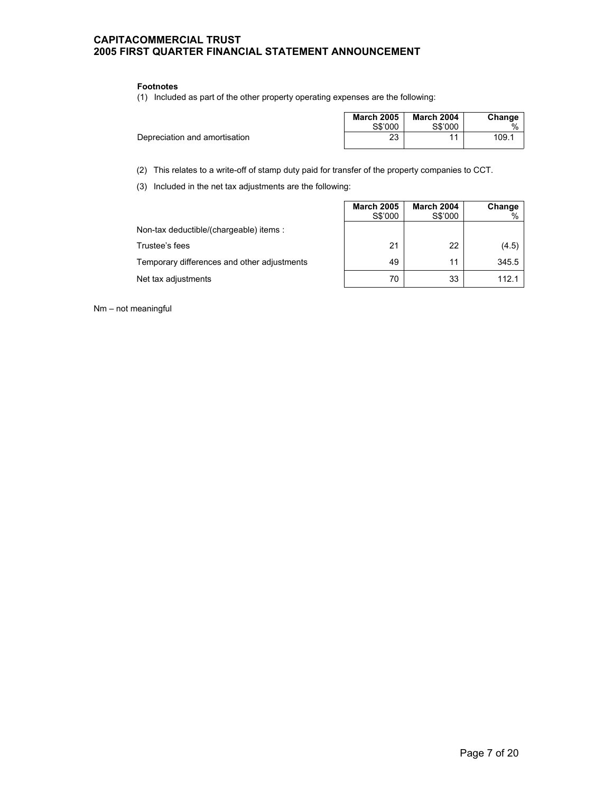#### **Footnotes**

(1) Included as part of the other property operating expenses are the following:

|                               | <b>March 2005</b> | <b>March 2004</b> | Change        |
|-------------------------------|-------------------|-------------------|---------------|
|                               | S\$'000           | S\$'000           | $\frac{0}{6}$ |
| Depreciation and amortisation | つつ                |                   | 109.1         |
|                               |                   |                   |               |

(2) This relates to a write-off of stamp duty paid for transfer of the property companies to CCT.

(3) Included in the net tax adjustments are the following:

|                                             | <b>March 2005</b><br>S\$'000 | <b>March 2004</b><br>S\$'000 | Change<br>% |
|---------------------------------------------|------------------------------|------------------------------|-------------|
| Non-tax deductible/(chargeable) items:      |                              |                              |             |
| Trustee's fees                              | 21                           | 22                           | (4.5)       |
| Temporary differences and other adjustments | 49                           | 11                           | 345.5       |
| Net tax adjustments                         | 70                           | 33                           | 112.1       |

Nm – not meaningful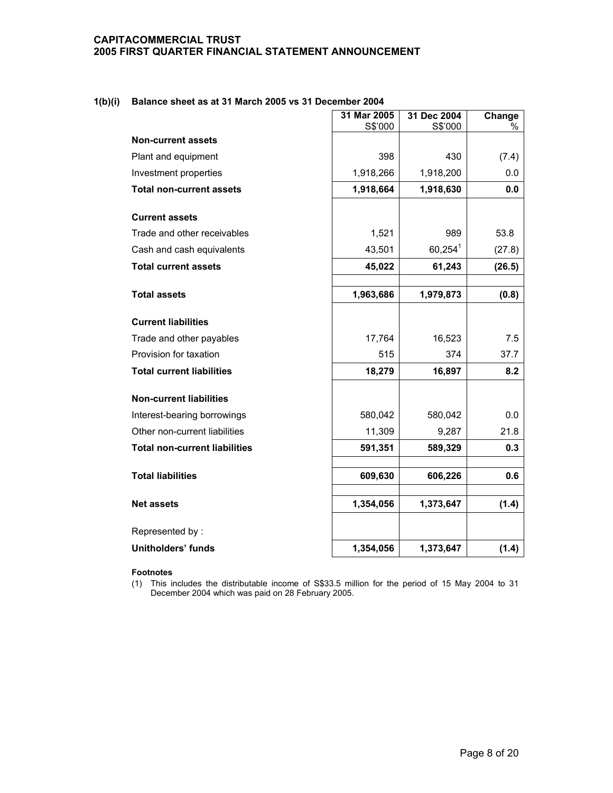### **1(b)(i) Balance sheet as at 31 March 2005 vs 31 December 2004**

|                                      | 31 Mar 2005<br>S\$'000 | 31 Dec 2004<br>S\$'000 | Change<br>% |
|--------------------------------------|------------------------|------------------------|-------------|
| <b>Non-current assets</b>            |                        |                        |             |
| Plant and equipment                  | 398                    | 430                    | (7.4)       |
| Investment properties                | 1,918,266              | 1,918,200              | 0.0         |
| <b>Total non-current assets</b>      | 1,918,664              | 1,918,630              | 0.0         |
| <b>Current assets</b>                |                        |                        |             |
| Trade and other receivables          | 1,521                  | 989                    | 53.8        |
| Cash and cash equivalents            | 43,501                 | $60,254^1$             | (27.8)      |
| <b>Total current assets</b>          | 45,022                 | 61,243                 | (26.5)      |
|                                      |                        |                        |             |
| <b>Total assets</b>                  | 1,963,686              | 1,979,873              | (0.8)       |
| <b>Current liabilities</b>           |                        |                        |             |
| Trade and other payables             | 17,764                 | 16,523                 | 7.5         |
| Provision for taxation               | 515                    | 374                    | 37.7        |
| <b>Total current liabilities</b>     | 18,279                 | 16,897                 | 8.2         |
| <b>Non-current liabilities</b>       |                        |                        |             |
| Interest-bearing borrowings          | 580,042                | 580,042                | 0.0         |
| Other non-current liabilities        | 11,309                 | 9,287                  | 21.8        |
| <b>Total non-current liabilities</b> | 591,351                | 589,329                | 0.3         |
|                                      |                        |                        |             |
| <b>Total liabilities</b>             | 609,630                | 606,226                | 0.6         |
| <b>Net assets</b>                    | 1,354,056              | 1,373,647              | (1.4)       |
| Represented by:                      |                        |                        |             |
| Unitholders' funds                   | 1,354,056              | 1,373,647              | (1.4)       |

#### **Footnotes**

(1) This includes the distributable income of S\$33.5 million for the period of 15 May 2004 to 31 December 2004 which was paid on 28 February 2005.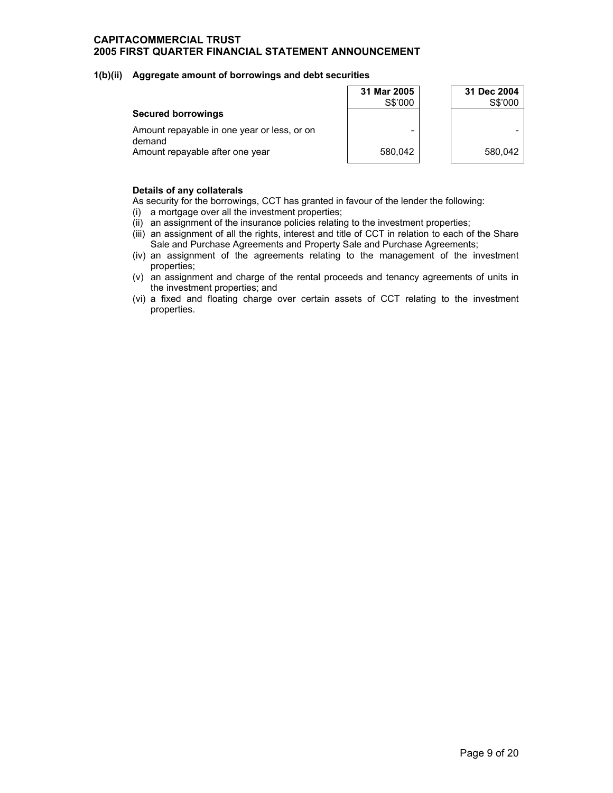#### **1(b)(ii) Aggregate amount of borrowings and debt securities**

|                                                       | 31 Mar 2005<br>S\$'000 | 31 Dec 2004<br>S\$'000 |
|-------------------------------------------------------|------------------------|------------------------|
| <b>Secured borrowings</b>                             |                        |                        |
| Amount repayable in one year or less, or on<br>demand | -                      |                        |
| Amount repayable after one year                       | 580.042                | 580.042                |

#### **Details of any collaterals**

As security for the borrowings, CCT has granted in favour of the lender the following:

- (i) a mortgage over all the investment properties;
- (ii) an assignment of the insurance policies relating to the investment properties;
- (iii) an assignment of all the rights, interest and title of CCT in relation to each of the Share Sale and Purchase Agreements and Property Sale and Purchase Agreements;
- (iv) an assignment of the agreements relating to the management of the investment properties;
- (v) an assignment and charge of the rental proceeds and tenancy agreements of units in the investment properties; and
- (vi) a fixed and floating charge over certain assets of CCT relating to the investment properties.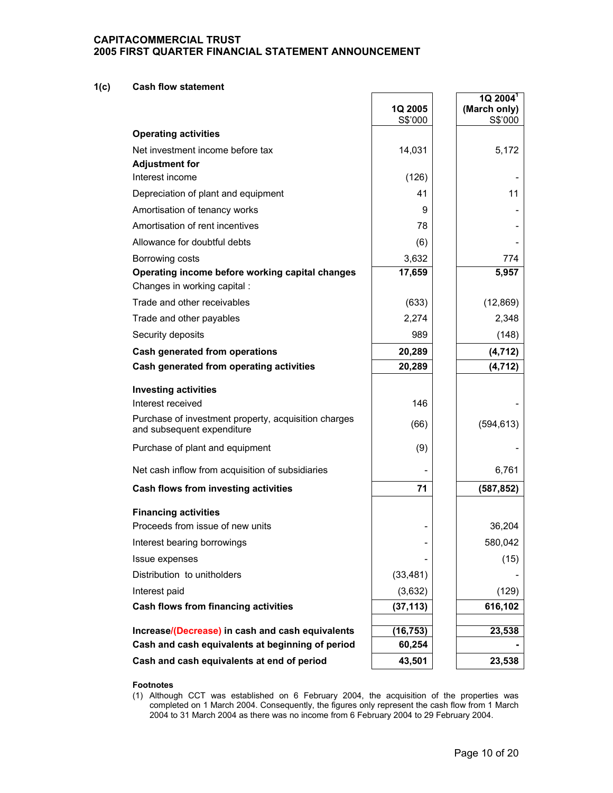#### **1(c) Cash flow statement**

|                                                                                    | 1Q 2005         | $1Q$ 2004 <sup>1</sup><br>(March only) |
|------------------------------------------------------------------------------------|-----------------|----------------------------------------|
|                                                                                    | S\$'000         | S\$'000                                |
| <b>Operating activities</b>                                                        |                 |                                        |
| Net investment income before tax                                                   | 14,031          | 5,172                                  |
| <b>Adjustment for</b><br>Interest income                                           | (126)           |                                        |
| Depreciation of plant and equipment                                                | 41              | 11                                     |
| Amortisation of tenancy works                                                      | 9               |                                        |
| Amortisation of rent incentives                                                    | 78              |                                        |
| Allowance for doubtful debts                                                       |                 |                                        |
|                                                                                    | (6)             |                                        |
| Borrowing costs<br>Operating income before working capital changes                 | 3,632<br>17,659 | 774<br>5,957                           |
| Changes in working capital :                                                       |                 |                                        |
| Trade and other receivables                                                        | (633)           | (12, 869)                              |
| Trade and other payables                                                           | 2,274           | 2,348                                  |
| Security deposits                                                                  | 989             | (148)                                  |
| <b>Cash generated from operations</b>                                              | 20,289          | (4, 712)                               |
| Cash generated from operating activities                                           | 20,289          | (4, 712)                               |
| <b>Investing activities</b>                                                        |                 |                                        |
| Interest received                                                                  | 146             |                                        |
| Purchase of investment property, acquisition charges<br>and subsequent expenditure | (66)            | (594, 613)                             |
| Purchase of plant and equipment                                                    | (9)             |                                        |
| Net cash inflow from acquisition of subsidiaries                                   |                 | 6,761                                  |
| Cash flows from investing activities                                               | 71              | (587, 852)                             |
| <b>Financing activities</b>                                                        |                 |                                        |
| Proceeds from issue of new units                                                   |                 | 36,204                                 |
| Interest bearing borrowings                                                        |                 | 580,042                                |
| Issue expenses                                                                     |                 | (15)                                   |
| Distribution to unitholders                                                        | (33, 481)       |                                        |
| Interest paid                                                                      | (3,632)         | (129)                                  |
| Cash flows from financing activities                                               | (37, 113)       | 616,102                                |
| Increase/(Decrease) in cash and cash equivalents                                   | (16, 753)       | 23,538                                 |
| Cash and cash equivalents at beginning of period                                   | 60,254          |                                        |
| Cash and cash equivalents at end of period                                         | 43,501          | 23,538                                 |
|                                                                                    |                 |                                        |

#### **Footnotes**

(1) Although CCT was established on 6 February 2004, the acquisition of the properties was completed on 1 March 2004. Consequently, the figures only represent the cash flow from 1 March 2004 to 31 March 2004 as there was no income from 6 February 2004 to 29 February 2004.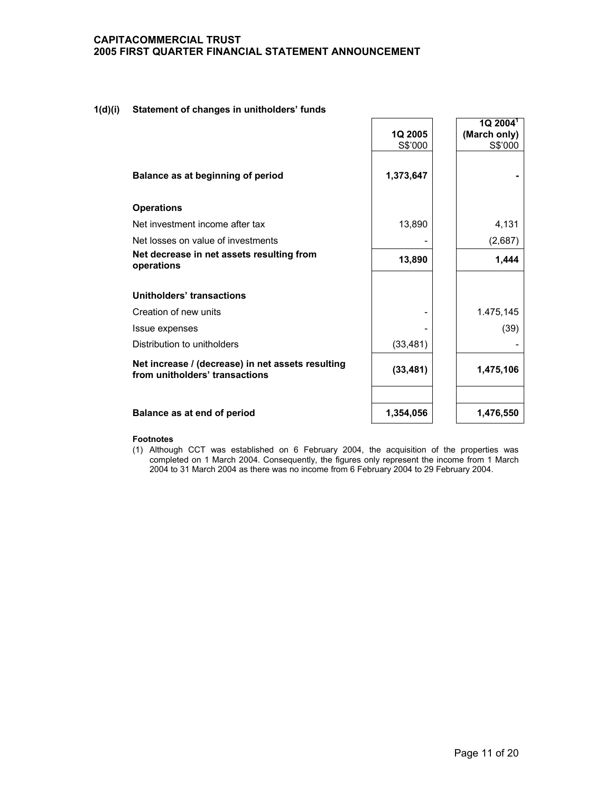#### **1(d)(i) Statement of changes in unitholders' funds**

|                                                                                     | 1Q 2005<br>S\$'000 | $1Q$ 2004 $^1$<br>(March only)<br>S\$'000 |
|-------------------------------------------------------------------------------------|--------------------|-------------------------------------------|
| Balance as at beginning of period                                                   | 1,373,647          |                                           |
| <b>Operations</b>                                                                   |                    |                                           |
| Net investment income after tax                                                     | 13,890             | 4,131                                     |
| Net losses on value of investments                                                  |                    | (2,687)                                   |
| Net decrease in net assets resulting from<br>operations                             | 13,890             | 1,444                                     |
| Unitholders' transactions                                                           |                    |                                           |
| Creation of new units                                                               |                    | 1.475,145                                 |
| Issue expenses                                                                      |                    | (39)                                      |
| Distribution to unitholders                                                         | (33, 481)          |                                           |
| Net increase / (decrease) in net assets resulting<br>from unitholders' transactions | (33, 481)          | 1,475,106                                 |
| Balance as at end of period                                                         | 1,354,056          | 1,476,550                                 |

#### **Footnotes**

(1) Although CCT was established on 6 February 2004, the acquisition of the properties was completed on 1 March 2004. Consequently, the figures only represent the income from 1 March 2004 to 31 March 2004 as there was no income from 6 February 2004 to 29 February 2004.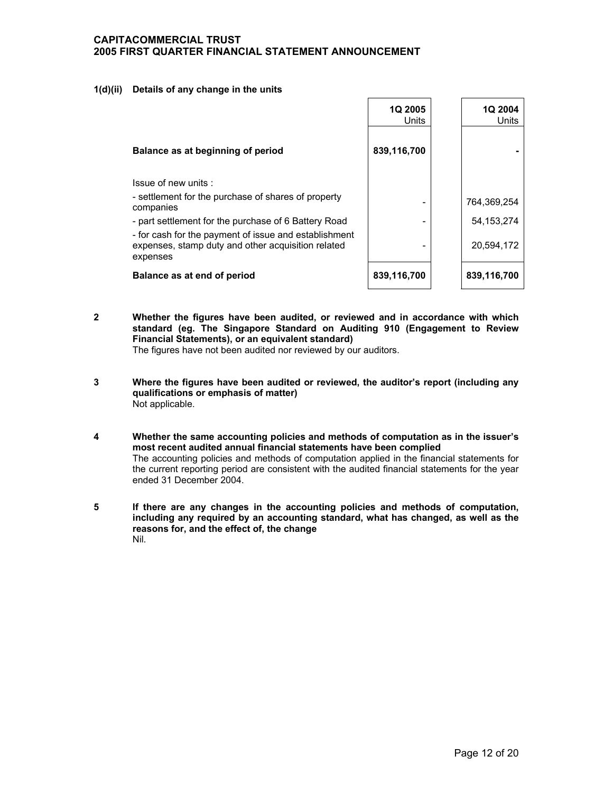#### **1(d)(ii) Details of any change in the units**

|                                                                                                                         | 1Q 2005<br>Units | 1Q 2004<br>Units |
|-------------------------------------------------------------------------------------------------------------------------|------------------|------------------|
| Balance as at beginning of period                                                                                       | 839,116,700      |                  |
| Issue of new units:                                                                                                     |                  |                  |
| - settlement for the purchase of shares of property<br>companies                                                        |                  | 764,369,254      |
| - part settlement for the purchase of 6 Battery Road                                                                    |                  | 54, 153, 274     |
| - for cash for the payment of issue and establishment<br>expenses, stamp duty and other acquisition related<br>expenses |                  | 20,594,172       |
| Balance as at end of period                                                                                             | 839,116,700      | 839,116,700      |

**2 Whether the figures have been audited, or reviewed and in accordance with which standard (eg. The Singapore Standard on Auditing 910 (Engagement to Review Financial Statements), or an equivalent standard)** 

The figures have not been audited nor reviewed by our auditors.

- **3 Where the figures have been audited or reviewed, the auditor's report (including any qualifications or emphasis of matter)**  Not applicable.
- **4 Whether the same accounting policies and methods of computation as in the issuer's most recent audited annual financial statements have been complied**  The accounting policies and methods of computation applied in the financial statements for the current reporting period are consistent with the audited financial statements for the year ended 31 December 2004.
- **5 If there are any changes in the accounting policies and methods of computation, including any required by an accounting standard, what has changed, as well as the reasons for, and the effect of, the change**  Nil.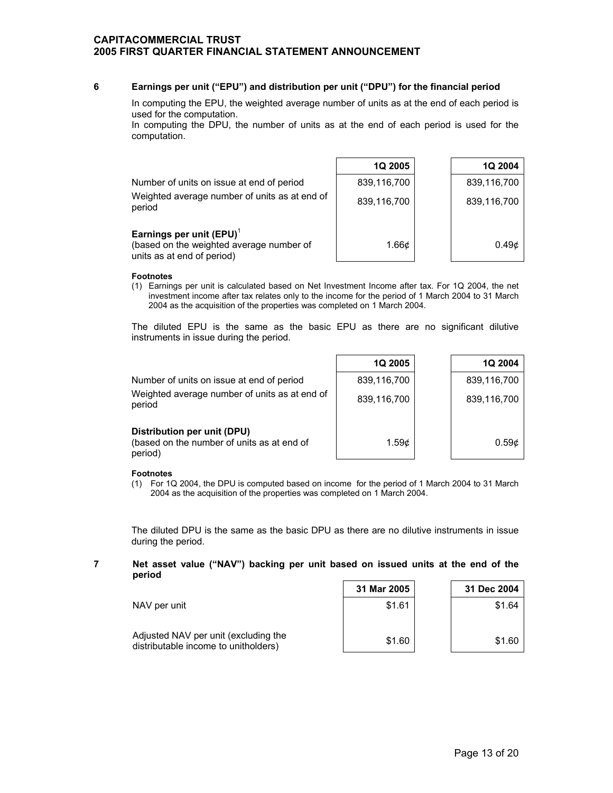#### **6 Earnings per unit ("EPU") and distribution per unit ("DPU") for the financial period**

 In computing the EPU, the weighted average number of units as at the end of each period is used for the computation.

 In computing the DPU, the number of units as at the end of each period is used for the computation.

|                                                                                                       | <b>1Q 2005</b>    | 1Q 2004           |
|-------------------------------------------------------------------------------------------------------|-------------------|-------------------|
| Number of units on issue at end of period                                                             | 839,116,700       | 839,116,700       |
| Weighted average number of units as at end of<br>period                                               | 839,116,700       | 839,116,700       |
| Earnings per unit $(EPU)^T$<br>(based on the weighted average number of<br>units as at end of period) | 1.66 <sub>c</sub> | 0.49 <sub>c</sub> |

#### **Footnotes**

(1) Earnings per unit is calculated based on Net Investment Income after tax. For 1Q 2004, the net investment income after tax relates only to the income for the period of 1 March 2004 to 31 March 2004 as the acquisition of the properties was completed on 1 March 2004.

 The diluted EPU is the same as the basic EPU as there are no significant dilutive instruments in issue during the period.

|                                                                                      | 1Q 2005           | 1Q 2004           |
|--------------------------------------------------------------------------------------|-------------------|-------------------|
| Number of units on issue at end of period                                            | 839,116,700       | 839,116,700       |
| Weighted average number of units as at end of<br>period                              | 839,116,700       | 839,116,700       |
| Distribution per unit (DPU)<br>(based on the number of units as at end of<br>period) | 1.59 <sub>c</sub> | 0.59 <sub>c</sub> |

#### **Footnotes**

(1) For 1Q 2004, the DPU is computed based on income for the period of 1 March 2004 to 31 March 2004 as the acquisition of the properties was completed on 1 March 2004.

 The diluted DPU is the same as the basic DPU as there are no dilutive instruments in issue during the period.

#### **7 Net asset value ("NAV") backing per unit based on issued units at the end of the period**   $\blacksquare$  $\Gamma$

|                                                                              | 31 Mar 2005 | 31 Dec 2004 |
|------------------------------------------------------------------------------|-------------|-------------|
| NAV per unit                                                                 | \$1.61      | \$1.64      |
| Adjusted NAV per unit (excluding the<br>distributable income to unitholders) | \$1.60      | \$1.60      |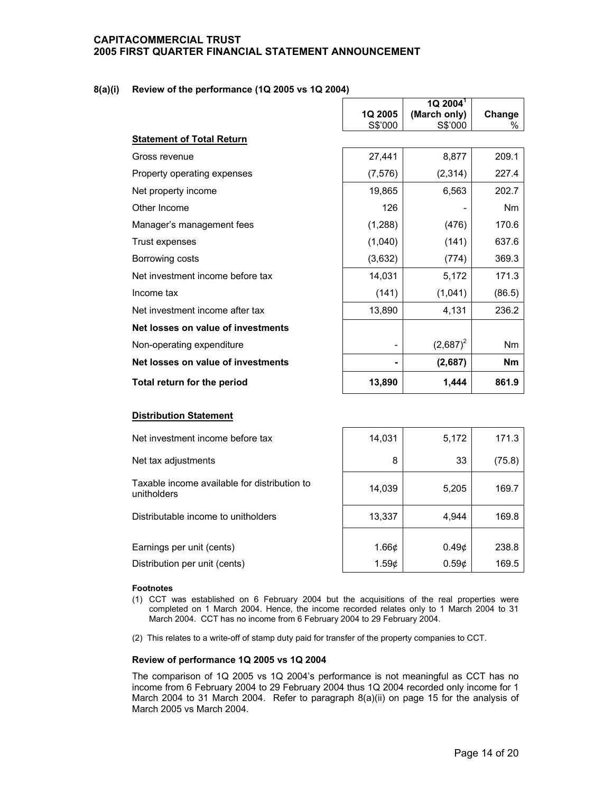### **8(a)(i) Review of the performance (1Q 2005 vs 1Q 2004)**

|                                    |          | $1Q$ 2004 <sup>1</sup> |           |
|------------------------------------|----------|------------------------|-----------|
|                                    | 1Q 2005  | (March only)           | Change    |
|                                    | S\$'000  | S\$'000                | ℅         |
| <b>Statement of Total Return</b>   |          |                        |           |
| Gross revenue                      | 27,441   | 8,877                  | 209.1     |
| Property operating expenses        | (7, 576) | (2,314)                | 227.4     |
| Net property income                | 19,865   | 6,563                  | 202.7     |
| Other Income                       | 126      |                        | Nm        |
| Manager's management fees          | (1, 288) | (476)                  | 170.6     |
| Trust expenses                     | (1,040)  | (141)                  | 637.6     |
| Borrowing costs                    | (3,632)  | (774)                  | 369.3     |
| Net investment income before tax   | 14,031   | 5,172                  | 171.3     |
| Income tax                         | (141)    | (1,041)                | (86.5)    |
| Net investment income after tax    | 13,890   | 4,131                  | 236.2     |
| Net losses on value of investments |          |                        |           |
| Non-operating expenditure          | -        | $(2,687)^2$            | Nm        |
| Net losses on value of investments | ۰        | (2,687)                | <b>Nm</b> |
| Total return for the period        | 13,890   | 1,444                  | 861.9     |

### **Distribution Statement**

| Net investment income before tax                            | 14,031            | 5,172           | 171.3  |
|-------------------------------------------------------------|-------------------|-----------------|--------|
| Net tax adjustments                                         | 8                 | 33              | (75.8) |
| Taxable income available for distribution to<br>unitholders | 14,039            | 5,205           | 169.7  |
| Distributable income to unitholders                         | 13,337            | 4,944           | 169.8  |
|                                                             |                   |                 |        |
| Earnings per unit (cents)                                   | 1.66 <sub>c</sub> | $0.49\textcirc$ | 238.8  |
| Distribution per unit (cents)                               | 1.59c             | $0.59\textcirc$ | 169.5  |

#### **Footnotes**

- (1) CCT was established on 6 February 2004 but the acquisitions of the real properties were completed on 1 March 2004. Hence, the income recorded relates only to 1 March 2004 to 31 March 2004. CCT has no income from 6 February 2004 to 29 February 2004.
- (2) This relates to a write-off of stamp duty paid for transfer of the property companies to CCT.

#### **Review of performance 1Q 2005 vs 1Q 2004**

 The comparison of 1Q 2005 vs 1Q 2004's performance is not meaningful as CCT has no income from 6 February 2004 to 29 February 2004 thus 1Q 2004 recorded only income for 1 March 2004 to 31 March 2004. Refer to paragraph 8(a)(ii) on page 15 for the analysis of March 2005 vs March 2004.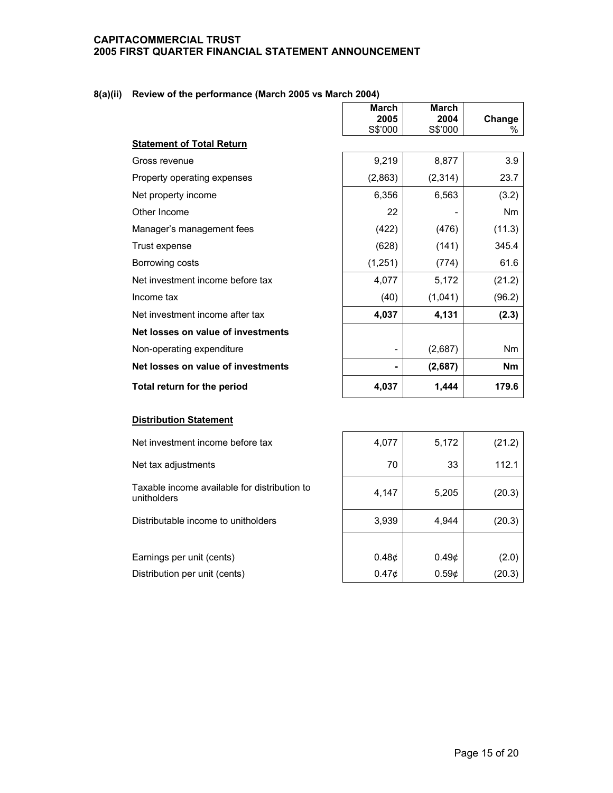### **8(a)(ii) Review of the performance (March 2005 vs March 2004)**

|                                    | <b>March</b>             | <b>March</b> |           |
|------------------------------------|--------------------------|--------------|-----------|
|                                    | 2005                     | 2004         | Change    |
|                                    | S\$'000                  | S\$'000      | %         |
| <b>Statement of Total Return</b>   |                          |              |           |
| Gross revenue                      | 9,219                    | 8,877        | 3.9       |
| Property operating expenses        | (2,863)                  | (2,314)      | 23.7      |
| Net property income                | 6,356                    | 6,563        | (3.2)     |
| Other Income                       | 22                       |              | Nm        |
| Manager's management fees          | (422)                    | (476)        | (11.3)    |
| Trust expense                      | (628)                    | (141)        | 345.4     |
| Borrowing costs                    | (1,251)                  | (774)        | 61.6      |
| Net investment income before tax   | 4,077                    | 5,172        | (21.2)    |
| Income tax                         | (40)                     | (1,041)      | (96.2)    |
| Net investment income after tax    | 4,037                    | 4,131        | (2.3)     |
| Net losses on value of investments |                          |              |           |
| Non-operating expenditure          | $\overline{\phantom{a}}$ | (2,687)      | Nm        |
| Net losses on value of investments | ۰                        | (2,687)      | <b>Nm</b> |
| Total return for the period        | 4,037                    | 1,444        | 179.6     |

#### **Distribution Statement**

Net investment income before tax

Net tax adjustments

Taxable income available for distribution to  $\begin{vmatrix} 4,147 & 5,205 \end{vmatrix}$  (20.3)

Distributable income to unitholders

Earnings per unit (cents) Distribution per unit (cents)

| 4,077 | 5,172 | (21.2) |
|-------|-------|--------|
| 70    | 33    | 112.1  |
| 4,147 | 5,205 | (20.3) |
| 3,939 | 4,944 | (20.3) |
|       |       |        |
| 0.48¢ | 0.49¢ | (2.0)  |
| 0.47¢ | 0.59¢ | (20.3) |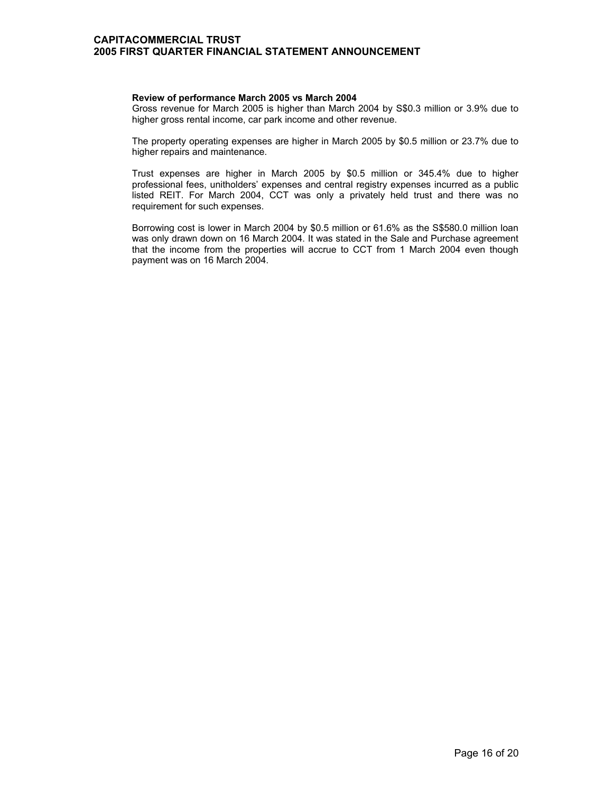#### **Review of performance March 2005 vs March 2004**

 Gross revenue for March 2005 is higher than March 2004 by S\$0.3 million or 3.9% due to higher gross rental income, car park income and other revenue.

The property operating expenses are higher in March 2005 by \$0.5 million or 23.7% due to higher repairs and maintenance.

Trust expenses are higher in March 2005 by \$0.5 million or 345.4% due to higher professional fees, unitholders' expenses and central registry expenses incurred as a public listed REIT. For March 2004, CCT was only a privately held trust and there was no requirement for such expenses.

Borrowing cost is lower in March 2004 by \$0.5 million or 61.6% as the S\$580.0 million loan was only drawn down on 16 March 2004. It was stated in the Sale and Purchase agreement that the income from the properties will accrue to CCT from 1 March 2004 even though payment was on 16 March 2004.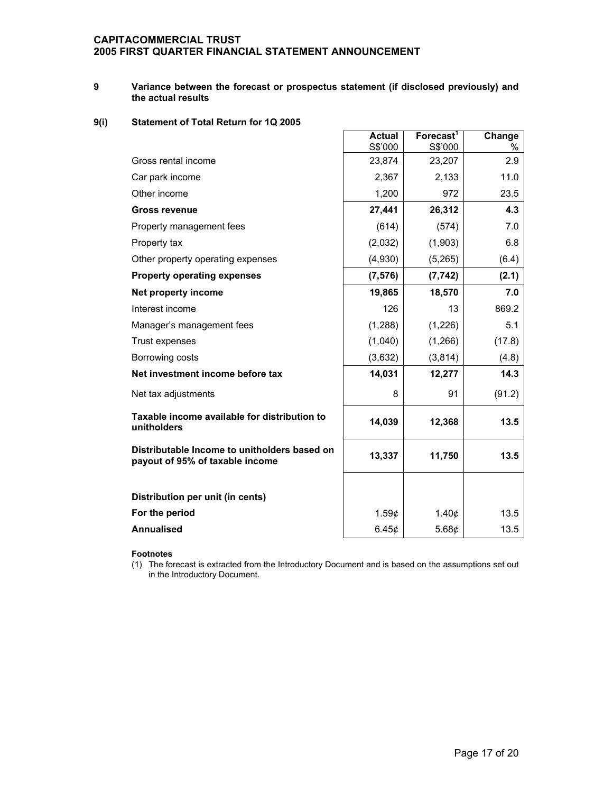#### **9 Variance between the forecast or prospectus statement (if disclosed previously) and the actual results**

### **9(i) Statement of Total Return for 1Q 2005**

|                                                                                 | <b>Actual</b><br>S\$'000 | Forecast <sup>1</sup><br>S\$'000 | Change<br>% |
|---------------------------------------------------------------------------------|--------------------------|----------------------------------|-------------|
| Gross rental income                                                             | 23,874                   | 23,207                           | 2.9         |
| Car park income                                                                 | 2,367                    | 2,133                            | 11.0        |
| Other income                                                                    | 1,200                    | 972                              | 23.5        |
| <b>Gross revenue</b>                                                            | 27,441                   | 26,312                           | 4.3         |
| Property management fees                                                        | (614)                    | (574)                            | 7.0         |
| Property tax                                                                    | (2,032)                  | (1,903)                          | 6.8         |
| Other property operating expenses                                               | (4,930)                  | (5, 265)                         | (6.4)       |
| <b>Property operating expenses</b>                                              | (7, 576)                 | (7, 742)                         | (2.1)       |
| Net property income                                                             | 19,865                   | 18,570                           | 7.0         |
| Interest income                                                                 | 126                      | 13                               | 869.2       |
| Manager's management fees                                                       | (1,288)                  | (1,226)                          | 5.1         |
| Trust expenses                                                                  | (1,040)                  | (1,266)                          | (17.8)      |
| Borrowing costs                                                                 | (3,632)                  | (3,814)                          | (4.8)       |
| Net investment income before tax                                                | 14,031                   | 12,277                           | 14.3        |
| Net tax adjustments                                                             | 8                        | 91                               | (91.2)      |
| Taxable income available for distribution to<br>unitholders                     | 14,039                   | 12,368                           | 13.5        |
| Distributable Income to unitholders based on<br>payout of 95% of taxable income | 13,337                   | 11,750                           | 13.5        |
|                                                                                 |                          |                                  |             |
| Distribution per unit (in cents)                                                |                          |                                  |             |
| For the period                                                                  | 1.59¢                    | 1.40¢                            | 13.5        |
| <b>Annualised</b>                                                               | 6.45¢                    | 5.68¢                            | 13.5        |

### **Footnotes**

(1) The forecast is extracted from the Introductory Document and is based on the assumptions set out in the Introductory Document.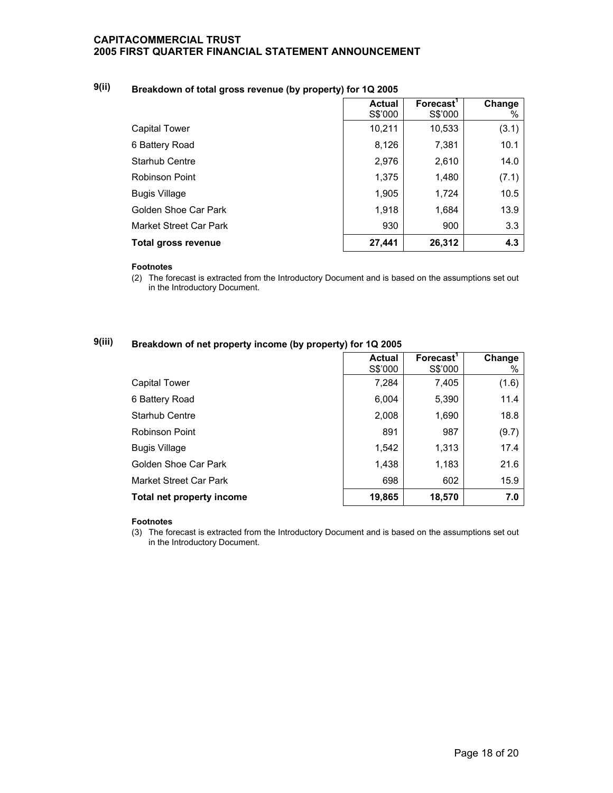## **9(ii) Breakdown of total gross revenue (by property) for 1Q 2005**

|                               | <b>Actual</b> | Forecast <sup>'</sup> | Change |
|-------------------------------|---------------|-----------------------|--------|
|                               | S\$'000       | S\$'000               | %      |
| Capital Tower                 | 10,211        | 10,533                | (3.1)  |
| 6 Battery Road                | 8,126         | 7,381                 | 10.1   |
| <b>Starhub Centre</b>         | 2,976         | 2,610                 | 14.0   |
| <b>Robinson Point</b>         | 1,375         | 1,480                 | (7.1)  |
| <b>Bugis Village</b>          | 1,905         | 1,724                 | 10.5   |
| Golden Shoe Car Park          | 1,918         | 1,684                 | 13.9   |
| <b>Market Street Car Park</b> | 930           | 900                   | 3.3    |
| Total gross revenue           | 27,441        | 26,312                | 4.3    |

#### **Footnotes**

(2) The forecast is extracted from the Introductory Document and is based on the assumptions set out in the Introductory Document.

## **9(iii) Breakdown of net property income (by property) for 1Q 2005**

|                           | <b>Actual</b><br>S\$'000 | Forecast <sup>1</sup><br>S\$'000 | Change<br>% |
|---------------------------|--------------------------|----------------------------------|-------------|
| Capital Tower             | 7,284                    | 7,405                            | (1.6)       |
| 6 Battery Road            | 6,004                    | 5,390                            | 11.4        |
| <b>Starhub Centre</b>     | 2,008                    | 1,690                            | 18.8        |
| Robinson Point            | 891                      | 987                              | (9.7)       |
| <b>Bugis Village</b>      | 1,542                    | 1,313                            | 17.4        |
| Golden Shoe Car Park      | 1,438                    | 1,183                            | 21.6        |
| Market Street Car Park    | 698                      | 602                              | 15.9        |
| Total net property income | 19,865                   | 18,570                           | 7.0         |

#### **Footnotes**

(3) The forecast is extracted from the Introductory Document and is based on the assumptions set out in the Introductory Document.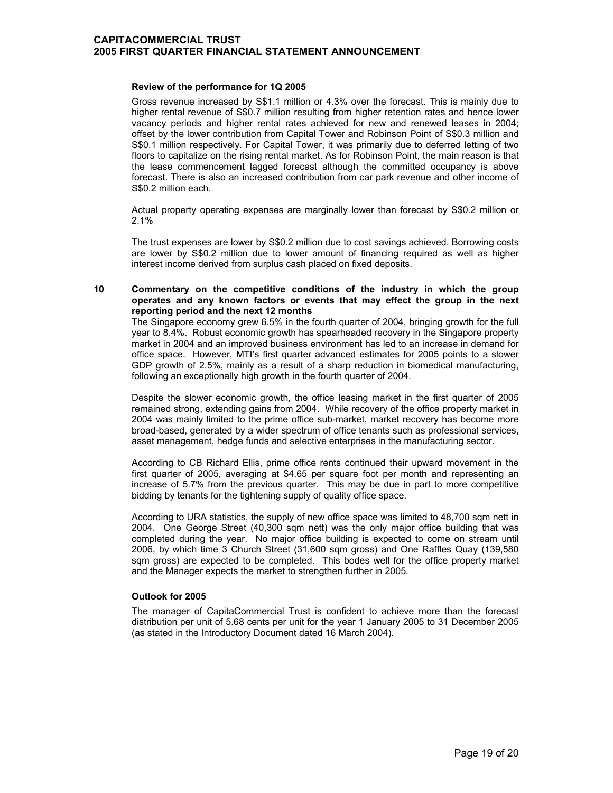#### **Review of the performance for 1Q 2005**

 Gross revenue increased by S\$1.1 million or 4.3% over the forecast. This is mainly due to higher rental revenue of S\$0.7 million resulting from higher retention rates and hence lower vacancy periods and higher rental rates achieved for new and renewed leases in 2004; offset by the lower contribution from Capital Tower and Robinson Point of S\$0.3 million and S\$0.1 million respectively. For Capital Tower, it was primarily due to deferred letting of two floors to capitalize on the rising rental market. As for Robinson Point, the main reason is that the lease commencement lagged forecast although the committed occupancy is above forecast. There is also an increased contribution from car park revenue and other income of S\$0.2 million each.

Actual property operating expenses are marginally lower than forecast by S\$0.2 million or 2.1%

The trust expenses are lower by S\$0.2 million due to cost savings achieved. Borrowing costs are lower by S\$0.2 million due to lower amount of financing required as well as higher interest income derived from surplus cash placed on fixed deposits.

#### **10 Commentary on the competitive conditions of the industry in which the group operates and any known factors or events that may effect the group in the next reporting period and the next 12 months**

 The Singapore economy grew 6.5% in the fourth quarter of 2004, bringing growth for the full year to 8.4%. Robust economic growth has spearheaded recovery in the Singapore property market in 2004 and an improved business environment has led to an increase in demand for office space. However, MTI's first quarter advanced estimates for 2005 points to a slower GDP growth of 2.5%, mainly as a result of a sharp reduction in biomedical manufacturing, following an exceptionally high growth in the fourth quarter of 2004.

Despite the slower economic growth, the office leasing market in the first quarter of 2005 remained strong, extending gains from 2004. While recovery of the office property market in 2004 was mainly limited to the prime office sub-market, market recovery has become more broad-based, generated by a wider spectrum of office tenants such as professional services, asset management, hedge funds and selective enterprises in the manufacturing sector.

According to CB Richard Ellis, prime office rents continued their upward movement in the first quarter of 2005, averaging at \$4.65 per square foot per month and representing an increase of 5.7% from the previous quarter. This may be due in part to more competitive bidding by tenants for the tightening supply of quality office space.

According to URA statistics, the supply of new office space was limited to 48,700 sqm nett in 2004. One George Street (40,300 sqm nett) was the only major office building that was completed during the year. No major office building is expected to come on stream until 2006, by which time 3 Church Street (31,600 sqm gross) and One Raffles Quay (139,580 sqm gross) are expected to be completed. This bodes well for the office property market and the Manager expects the market to strengthen further in 2005.

#### **Outlook for 2005**

 The manager of CapitaCommercial Trust is confident to achieve more than the forecast distribution per unit of 5.68 cents per unit for the year 1 January 2005 to 31 December 2005 (as stated in the Introductory Document dated 16 March 2004).